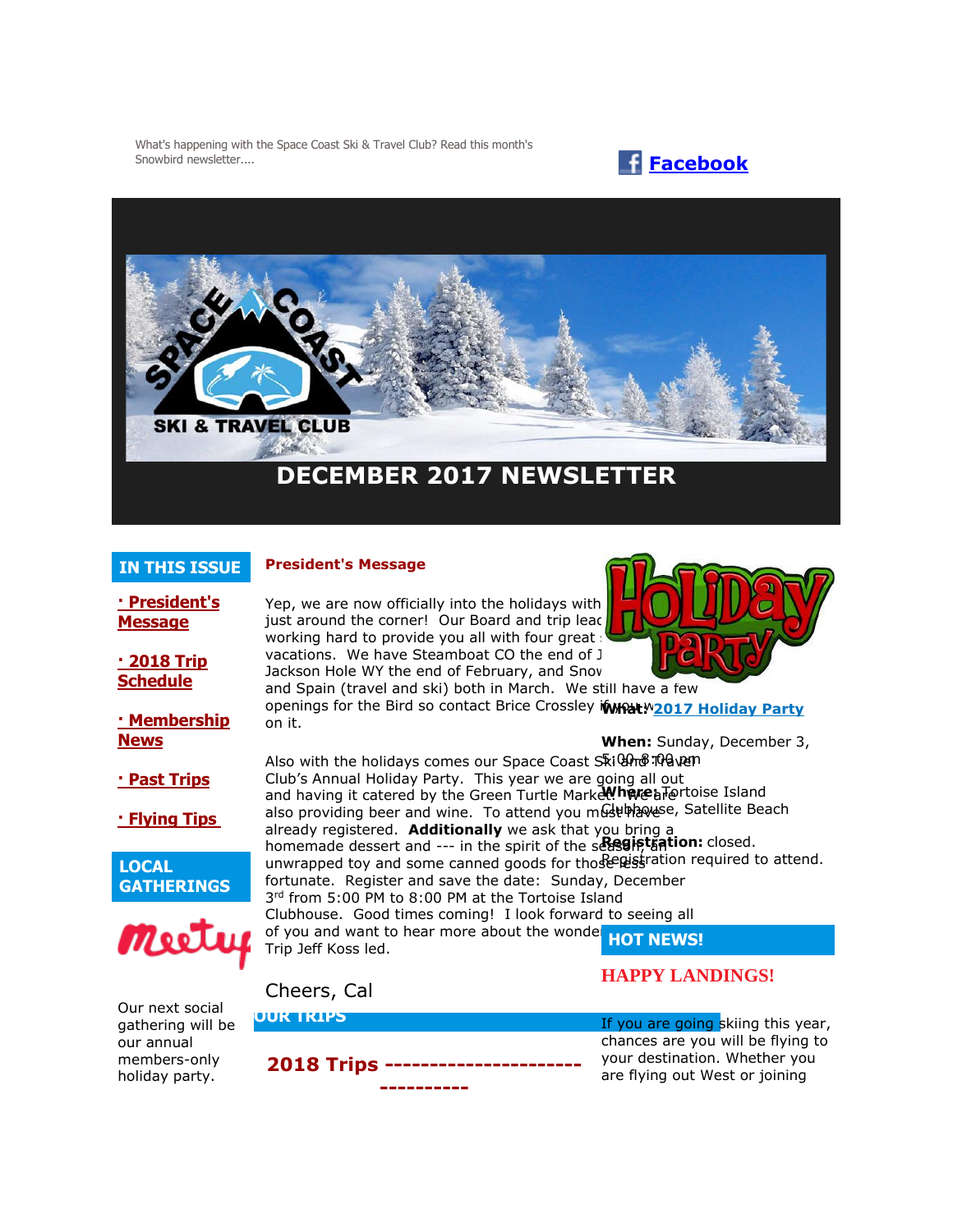What's happening with the Space Coast Ski & Travel Club? Read this month's Snowbird newsletter.... **[Facebook](https://www.facebook.com/pages/Space-Coast-Ski-Club/137991863341)** 





## **DECEMBER 2017 NEWSLETTER**

#### **IN THIS ISSUE**

**[· President's](http://spacecoastskiclub.com/Admin/Settings/Emails/EmailContentProvider.aspx?emailId=65984334#anchor1)  [Message](http://spacecoastskiclub.com/Admin/Settings/Emails/EmailContentProvider.aspx?emailId=65984334#anchor1)**

**[· 2018 Trip](http://spacecoastskiclub.com/Admin/Settings/Emails/EmailContentProvider.aspx?emailId=65984334#anchor2)  [Schedule](http://spacecoastskiclub.com/Admin/Settings/Emails/EmailContentProvider.aspx?emailId=65984334#anchor2)** 

**[· Membership](http://spacecoastskiclub.com/Admin/Settings/Emails/EmailContentProvider.aspx?emailId=65984334#anchor3)** 

**[· Past Trips](http://spacecoastskiclub.com/Admin/Settings/Emails/EmailContentProvider.aspx?emailId=65984334#anchor4)**

**[· Flying Tips](http://spacecoastskiclub.com/Admin/Settings/Emails/EmailContentProvider.aspx?emailId=65984334#anchor3)**

**GATHERINGS**

Meete

**LOCAL** 

**[News](http://spacecoastskiclub.com/Admin/Settings/Emails/EmailContentProvider.aspx?emailId=65984334#anchor3)**

#### **President's Message**

Yep, we are now officially into the holidays with just around the corner! Our Board and trip lead working hard to provide you all with four great vacations. We have Steamboat CO the end of J Jackson Hole WY the end of February, and Snov



and Spain (travel and ski) both in March. We still have a few  openings for the Bird so contact Brice Crossley *if what* **[2017 Holiday Party](http://spacecoastskiclub.com/event-2670219)** on it.

Also with the holidays comes our Space Coast S້¢i <del>Uno</del> Traven Club's Annual Holiday Party. This year we are going all out and having it catered by the Green Turtle Market. Where a Tortoise Island also providing beer and wine. To attend you must have c, Satellite Beach already registered. **Additionally** we ask that you bring a homemade dessert and --- in the spirit of the search, that ion: closed. unwrapped toy and some canned goods for those wistration required to attend. fortunate. Register and save the date: Sunday, December 3<sup>rd</sup> from 5:00 PM to 8:00 PM at the Tortoise Island Clubhouse. Good times coming! I look forward to seeing all of you and want to hear more about the wonder **HOT NEWS!**<br>Trip Joff Koss lod Trip Jeff Koss led. **When:** Sunday, December 3,

**HAPPY LANDINGS!**

Our next social gathering will be our annual members-only holiday party.



Cheers, Cal

If you are going skiing this year, chances are you will be flying to your destination. Whether you are flying out West or joining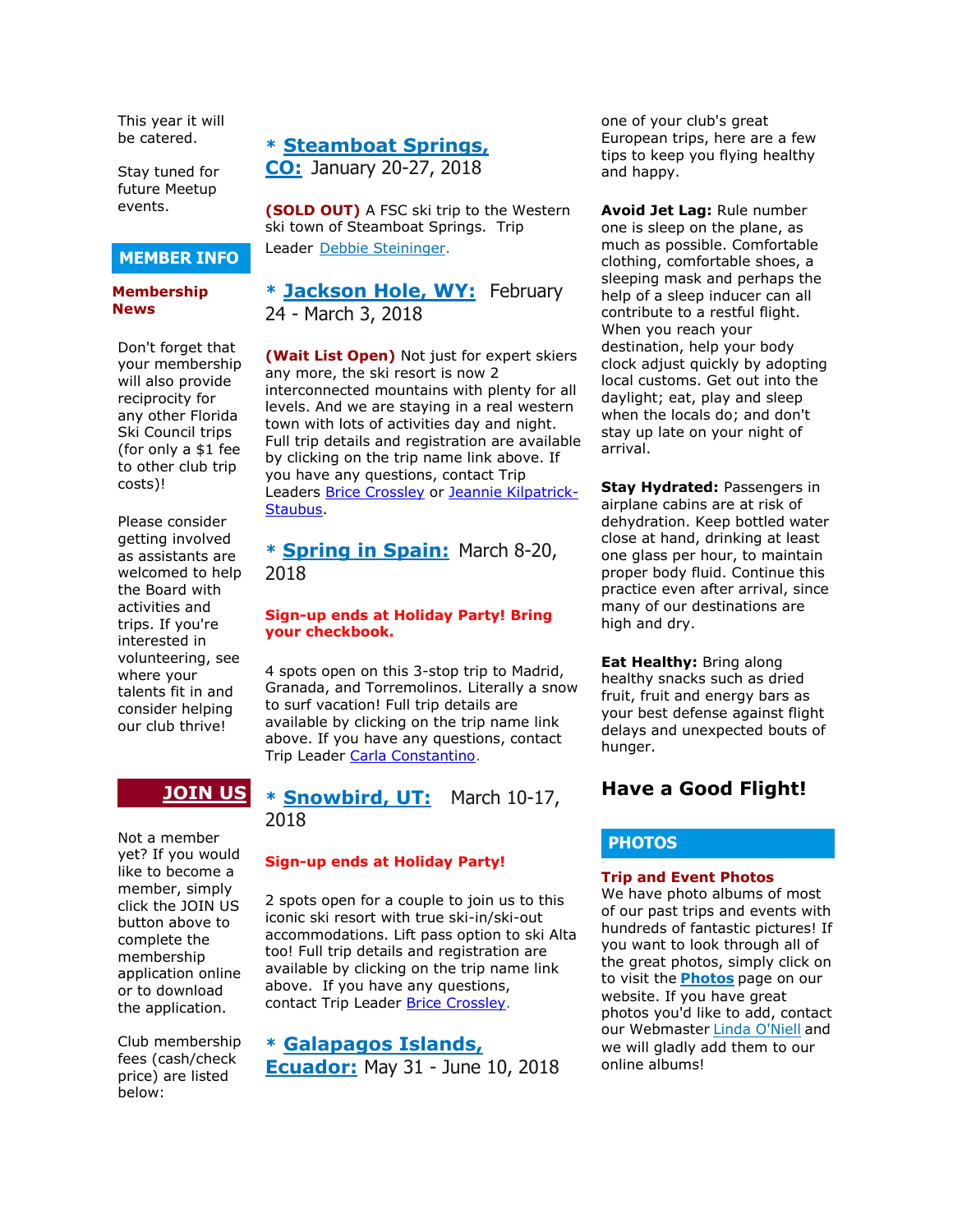This year it will be catered.

Stay tuned for future Meetup events.

## **MEMBER INFO**

#### **Membership News**

Don't forget that your membership will also provide reciprocity for any other Florida Ski Council trips (for only a \$1 fee to other club trip costs)!

Please consider getting involved as assistants are welcomed to help the Board with activities and trips. If you're interested in volunteering, see where your talents fit in and consider helping our club thrive!

## **[JOIN US](http://spacecoastskiclub.com/Join)**

Not a member yet? If you would like to become a member, simply click the JOIN US button above to complete the membership application online or to download the application.

Club membership fees (cash/check price) are listed below:

#### **\* [Steamboat Springs,](http://spacecoastskiclub.com/event-2594526)**

**[CO:](http://spacecoastskiclub.com/event-2594526)** January 20-27, 2018

**(SOLD OUT)** A FSC ski trip to the Western ski town of Steamboat Springs. Trip Leader [Debbie Steininger.](mailto:dsteininger@cfl.rr.com)

#### **\* [Jackson Hole, WY:](http://spacecoastskiclub.com/event-2579402)** February 24 - March 3, 2018

**(Wait List Open)** Not just for expert skiers any more, the ski resort is now 2 interconnected mountains with plenty for all levels. And we are staying in a real western town with lots of activities day and night. Full trip details and registration are available by clicking on the trip name link above. If you have any questions, contact Trip Leaders [Brice Crossley](mailto:Brice@spacecoastskiclub.com) or [Jeannie Kilpatrick-](mailto:Jeannie@spacecoastskiclub.com)[Staubus.](mailto:Jeannie@spacecoastskiclub.com)

### **\* [Spring in Spain:](http://spacecoastskiclub.com/event-2577968)** March 8-20, 2018

#### **Sign-up ends at Holiday Party! Bring your checkbook.**

4 spots open on this 3-stop trip to Madrid, Granada, and Torremolinos. Literally a snow to surf vacation! Full trip details are available by clicking on the trip name link above. If you have any questions, contact Trip Leader [Carla Constantino.](mailto:Carla@SpaceCoastSkiClub.com)

**\* [Snowbird, UT:](http://spacecoastskiclub.com/event-2620390)** March 10-17, 2018

#### **Sign-up ends at Holiday Party!**

2 spots open for a couple to join us to this iconic ski resort with true ski-in/ski-out accommodations. Lift pass option to ski Alta too! Full trip details and registration are available by clicking on the trip name link above. If you have any questions, contact Trip Leader [Brice Crossley.](mailto:Brice@spacecoastskiclub.com)

# **\* [Galapagos Islands,](http://spacecoastskiclub.com/event-2622303)**

**[Ecuador:](http://spacecoastskiclub.com/event-2622303)** May 31 - June 10, 2018

one of your club's great European trips, here are a few tips to keep you flying healthy and happy.

**Avoid Jet Lag:** Rule number one is sleep on the plane, as much as possible. Comfortable clothing, comfortable shoes, a sleeping mask and perhaps the help of a sleep inducer can all contribute to a restful flight. When you reach your destination, help your body clock adjust quickly by adopting local customs. Get out into the daylight; eat, play and sleep when the locals do; and don't stay up late on your night of arrival.

**Stay Hydrated:** Passengers in airplane cabins are at risk of dehydration. Keep bottled water close at hand, drinking at least one glass per hour, to maintain proper body fluid. Continue this practice even after arrival, since many of our destinations are high and dry.

**Eat Healthy:** Bring along healthy snacks such as dried fruit, fruit and energy bars as your best defense against flight delays and unexpected bouts of hunger.

## **Have a Good Flight!**

#### **PHOTOS**

#### **Trip and Event Photos**

We have photo albums of most of our past trips and events with hundreds of fantastic pictures! If you want to look through all of the great photos, simply click on to visit the **[Photos](http://spacecoastskiclub.com/Default.aspx?pageId=1628252)** page on our website. If you have great photos you'd like to add, contact our Webmaster [Linda O'Niell](mailto:lrod2127@gmail.com) and we will gladly add them to our online albums!